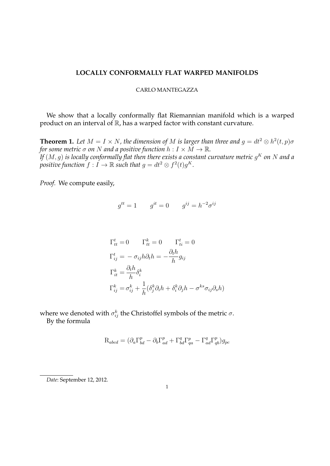## **LOCALLY CONFORMALLY FLAT WARPED MANIFOLDS**

## CARLO MANTEGAZZA

We show that a locally conformally flat Riemannian manifold which is a warped product on an interval of  $\mathbb R$ , has a warped factor with constant curvature.

**Theorem 1.** Let  $M = I \times N$ , the dimension of M is larger than three and  $g = dt^2 \otimes h^2(t, p) \sigma$ *for some metric*  $\sigma$  *on*  $N$  *and a positive function*  $h: I \times M \to \mathbb{R}$ *. If*  $(M,g)$  *is locally conformally flat then there exists a constant curvature metric*  $g^K$  *on*  $N$  *and a* positive function  $f: I \to \mathbb{R}$  such that  $g = dt^2 \otimes f^2(t)g^K$ .

*Proof.* We compute easily,

$$
g^{tt} = 1 \qquad g^{it} = 0 \qquad g^{ij} = h^{-2} \sigma^{ij}
$$

$$
\Gamma_{tt}^{t} = 0 \qquad \Gamma_{tt}^{k} = 0 \qquad \Gamma_{ti}^{t} = 0
$$
\n
$$
\Gamma_{ij}^{t} = -\sigma_{ij}h\partial_{t}h = -\frac{\partial_{t}h}{h}g_{ij}
$$
\n
$$
\Gamma_{it}^{k} = \frac{\partial_{t}h}{h}\delta_{i}^{k}
$$
\n
$$
\Gamma_{ij}^{k} = \sigma_{ij}^{k} + \frac{1}{h}(\delta_{j}^{k}\partial_{i}h + \delta_{i}^{k}\partial_{j}h - \sigma^{ks}\sigma_{ij}\partial_{s}h)
$$

where we denoted with  $\sigma_{ij}^k$  the Christoffel symbols of the metric  $\sigma.$ By the formula

$$
\mathbf{R}_{abcd} = (\partial_a \Gamma^p_{bd} - \partial_b \Gamma^p_{ad} + \Gamma^q_{bd} \Gamma^p_{qa} - \Gamma^q_{ad} \Gamma^p_{qb})g_{pc}
$$

*Date*: September 12, 2012.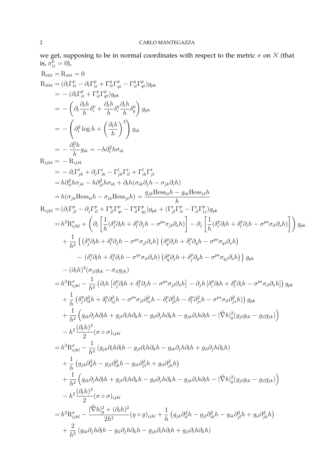we get, supposing to be in normal coordinates with respect to the metric  $\sigma$  on  $N$  (that is,  $\sigma_{ij}^k=0$ ),

$$
R_{ttttt} = R_{ttt1} = 0
$$
\n
$$
R_{ttstt} = (\partial_t \Gamma_{i1}^p - \partial_t \Gamma_{i1}^p + \Gamma_{i1}^p \Gamma_{q}^p - \Gamma_{it}^q \Gamma_{q}^p) g_{pk}
$$
\n
$$
= -(\partial_t \Gamma_{i1}^p - \partial_t \Gamma_{i1}^p \Gamma_{q}^p) g_{pk}
$$
\n
$$
= -(\partial_t \frac{\partial_t \partial_t \partial_t}{\partial t} + \frac{\partial_t \partial_t \partial_t}{\partial t} \partial_t \frac{\partial_t \partial_t}{\partial t}) g_{pk}
$$
\n
$$
= -(\partial_t \frac{\partial_t \partial_t \partial_t}{\partial t} + \frac{\partial_t \partial_t \partial_t}{\partial t}) g_{pk}
$$
\n
$$
= -\frac{\partial_t^2 h}{\partial t} g_{ik} = -h \partial_t^2 h \sigma_{ik}
$$
\n
$$
R_{sjkt} = -h \partial_t u
$$
\n
$$
= -h \partial_t u
$$
\n
$$
= -\frac{\partial_t^2 h}{\partial t} g_{pk} = -h \partial_t^2 h \sigma_{ik}
$$
\n
$$
= h \partial_{ik}^2 h \sigma_{jk} - h \partial_{jk}^2 h \sigma_{ik} + \partial_k h (\sigma_{ik} \partial_j h - \sigma_{jk} \partial_i h)
$$
\n
$$
= h(\sigma_{jk} \text{Hess}_{kl} - \sigma_{ik} \text{Hess}_{jk}) = \frac{g_{jk} \text{Hess}_{kl} t}{g_{jk} \text{H}^p} - \Gamma_{it}^p \Gamma_{it}^p \gamma_{jl} g_{pk}
$$
\n
$$
= h^2 \text{R}_{ijkl}^q = (\partial_t \Gamma_{jl}^p - \partial_t \Gamma_{il}^p + \Gamma_{jl}^p \Gamma_{q}^p - \Gamma_{il}^p \Gamma_{q}^p) g_{pk} + (\Gamma_{il}^p \Gamma_{il}^p - \Gamma_{il}^p \Gamma_{il}^p) g_{pk}
$$
\n
$$
= h^2 \text{R}_{ijkl}^q + (\partial_t \left[ \frac{1}{h} (\partial_i^q \partial_i h + \partial_i^q \partial_j h - \sigma^{ps} \sigma_{jl} \partial_k h) \right] - \partial_j \left[ \frac{1}{h} (\partial_i^q \partial_i h + \partial_i^q \partial_i h - \sigma
$$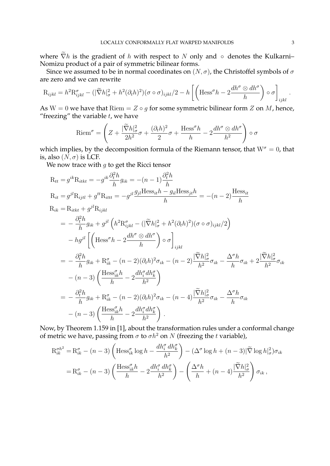where  $\widetilde{\nabla}h$  is the gradient of h with respect to N only and ∘ denotes the Kulkarni– Nomizu product of a pair of symmetric bilinear forms.

Since we assumed to be in normal coordinates on  $(N, \sigma)$ , the Christoffel symbols of  $\sigma$ are zero and we can rewrite

$$
R_{ijkl} = h^2 R_{ijkl}^{\sigma} - (|\widetilde{\nabla} h|_{\sigma}^2 + h^2 (\partial_t h)^2)(\sigma \circ \sigma)_{ijkl}/2 - h \left[ \left( \text{Hess}^{\sigma} h - 2 \frac{dh^{\sigma} \otimes dh^{\sigma}}{h} \right) \circ \sigma \right]_{ijkl}.
$$

As W = 0 we have that Riem =  $Z \circ q$  for some symmetric bilinear form  $Z$  on  $M$ , hence, "freezing" the variable  $t$ , we have

$$
\operatorname{Riem}^{\sigma} = \left( Z + \frac{|\widetilde{\nabla}h|_{\sigma}^{2}}{2h^{2}} \sigma + \frac{(\partial_{t}h)^{2}}{2} \sigma + \frac{\operatorname{Hess}^{\sigma}h}{h} - 2\frac{dh^{\sigma} \otimes dh^{\sigma}}{h^{2}} \right) \circ \sigma
$$

which implies, by the decomposition formula of the Riemann tensor, that  $W^{\sigma} = 0$ , that is, also  $(N, \sigma)$  is LCF.

We now trace with  $q$  to get the Ricci tensor

$$
R_{tt} = g^{ik}R_{itkt} = -g^{ik}\frac{\partial_i^2 h}{h}g_{ik} = -(n-1)\frac{\partial_i^2 h}{h}
$$
  
\n
$$
R_{it} = g^{jl}R_{ijtl} + g^{tt}R_{ittt} = -g^{jl}\frac{g_{jl}H \text{ess}_{it}h - g_{il}H \text{ess}_{jt}h}{h} = -(n-2)\frac{\text{Hess}_{it}}{h}
$$
  
\n
$$
R_{ik} = R_{itkt} + g^{jl}R_{ijkl}
$$
  
\n
$$
= -\frac{\partial_i^2 h}{h}g_{ik} + g^{jl}\left(h^2R_{ijkl}^\sigma - (\vert \tilde{\nabla}h \vert_\sigma^2 + h^2(\partial_t h)^2)(\sigma \circ \sigma)_{ijkl}/2\right)
$$
  
\n
$$
-hg^{jl}\left[\left(\text{Hess}^\sigma h - 2\frac{dh^\sigma \otimes dh^\sigma}{h}\right) \circ \sigma\right]_{ijkl}
$$
  
\n
$$
= -\frac{\partial_i^2 h}{h}g_{ik} + R_{ik}^\sigma - (n-2)(\partial_t h)^2 \sigma_{ik} - (n-2)\frac{\vert \tilde{\nabla}h \vert_\sigma^2}{h^2} \sigma_{ik} - \frac{\Delta^\sigma h}{h} \sigma_{ik} + 2\frac{\vert \tilde{\nabla}h \vert_\sigma^2}{h^2} \sigma_{ik}
$$
  
\n
$$
- (n-3)\left(\frac{\text{Hess}_{ik}^\sigma h}{h} - 2\frac{dh_i^\sigma dh_k^\sigma}{h^2}\right)
$$
  
\n
$$
= -\frac{\partial_i^2 h}{h}g_{ik} + R_{ik}^\sigma - (n-2)(\partial_t h)^2 \sigma_{ik} - (n-4)\frac{\vert \tilde{\nabla}h \vert_\sigma^2}{h^2} \sigma_{ik} - \frac{\Delta^\sigma h}{h} \sigma_{ik}
$$
  
\n
$$
- (n-3)\left(\frac{\text{Hess}_{ik}^\sigma h}{h} - 2\frac{dh_i^\sigma dh_k^\sigma}{h^2}\right).
$$

Now, by Theorem 1.159 in [1], about the transformation rules under a conformal change of metric we have, passing from  $\sigma$  to  $\sigma h^2$  on  $N$  (freezing the t variable),

$$
R_{ik}^{\sigma h^2} = R_{ik}^{\sigma} - (n-3) \left( \text{Hess}_{ik}^{\sigma} \log h - \frac{dh_i^{\sigma} dh_k^{\sigma}}{h^2} \right) - (\Delta^{\sigma} \log h + (n-3) |\tilde{\nabla} \log h|_{\sigma}^2) \sigma_{ik}
$$
  

$$
= R_{ik}^{\sigma} - (n-3) \left( \frac{\text{Hess}_{ik}^{\sigma} h}{h} - 2 \frac{dh_i^{\sigma} dh_k^{\sigma}}{h^2} \right) - \left( \frac{\Delta^{\sigma} h}{h} + (n-4) \frac{|\tilde{\nabla} h|_{\sigma}^2}{h^2} \right) \sigma_{ik},
$$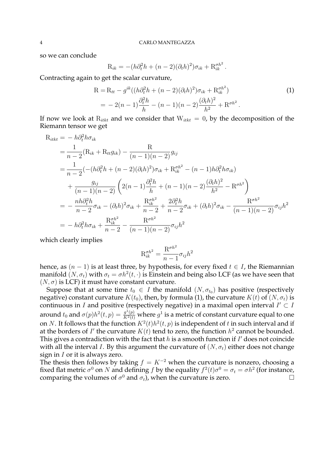so we can conclude

$$
R_{ik} = -(h\partial_t^2 h + (n-2)(\partial_t h)^2)\sigma_{ik} + R_{ik}^{\sigma h^2}.
$$

Contracting again to get the scalar curvature,

$$
R = R_{tt} - g^{ik}((h\partial_t^2 h + (n-2)(\partial_t h)^2)\sigma_{ik} + R_{ik}^{\sigma h^2})
$$
  
= 
$$
-2(n-1)\frac{\partial_t^2 h}{h} - (n-1)(n-2)\frac{(\partial_t h)^2}{h^2} + R^{\sigma h^2}.
$$
 (1)

If now we look at  $R_{itkt}$  and we consider that  $W_{itkt} = 0$ , by the decomposition of the Riemann tensor we get

$$
R_{itkt} = -h\partial_t^2 h \sigma_{ik}
$$
  
=  $\frac{1}{n-2} (R_{ik} + R_{tt} g_{ik}) - \frac{R}{(n-1)(n-2)} g_{ij}$   
=  $\frac{1}{n-2} (-(h\partial_t^2 h + (n-2)(\partial_t h)^2) \sigma_{ik} + R_{ik}^{\sigma h^2} - (n-1)h\partial_t^2 h \sigma_{ik})$   
+  $\frac{g_{ij}}{(n-1)(n-2)} \left( 2(n-1) \frac{\partial_t^2 h}{h} + (n-1)(n-2) \frac{(\partial_t h)^2}{h^2} - R^{\sigma h^2} \right)$   
=  $-\frac{nh\partial_t^2 h}{n-2} \sigma_{ik} - (\partial_t h)^2 \sigma_{ik} + \frac{R_{ik}^{\sigma h^2}}{n-2} + \frac{2\partial_t^2 h}{n-2} \sigma_{ik} + (\partial_t h)^2 \sigma_{ik} - \frac{R^{\sigma h^2}}{(n-1)(n-2)} \sigma_{ij} h^2$   
=  $-h\partial_t^2 h \sigma_{ik} + \frac{R_{ik}^{\sigma h^2}}{n-2} - \frac{R^{\sigma h^2}}{(n-1)(n-2)} \sigma_{ij} h^2$ 

which clearly implies

$$
R_{ik}^{\sigma h^2} = \frac{R^{\sigma h^2}}{n-1} \sigma_{ij} h^2
$$

hence, as  $(n - 1)$  is at least three, by hypothesis, for every fixed  $t \in I$ , the Riemannian manifold  $(N, \sigma_t)$  with  $\sigma_t = \sigma h^2(t, \cdot)$  is Einstein and being also LCF (as we have seen that  $(N, \sigma)$  is LCF) it must have constant curvature.

Suppose that at some time  $t_0 \in I$  the manifold  $(N, \sigma_{t_0})$  has positive (respectively negative) constant curvature  $K(t_0)$ , then, by formula (1), the curvature  $K(t)$  of  $(N, \sigma_t)$  is continuous in *I* and positive (respectively negative) in a maximal open interval  $I' \subset I$ around  $t_0$  and  $\sigma(p)h^2(t,p)=\frac{g^1(p)}{K^2(t)}$  where  $g^1$  is a metric of constant curvature equal to one on N. It follows that the function  $K^2(t)h^2(t,p)$  is independent of t in such interval and if at the borders of  $I'$  the curvature  $K(t)$  tend to zero, the function  $h^2$  cannot be bounded. This gives a contradiction with the fact that  $h$  is a smooth function if  $I'$  does not coincide with all the interval *I*. By this argument the curvature of  $(N, \sigma_t)$  either does not change sign in  $I$  or it is always zero.

The thesis then follows by taking  $f = K^{-2}$  when the curvature is nonzero, choosing a fixed flat metric  $\sigma^0$  on N and defining f by the equality  $f^2(t)\sigma^0 = \sigma_t = \sigma h^2$  (for instance, comparing the volumes of  $\sigma^0$  and  $\sigma_t$ ), when the curvature is zero.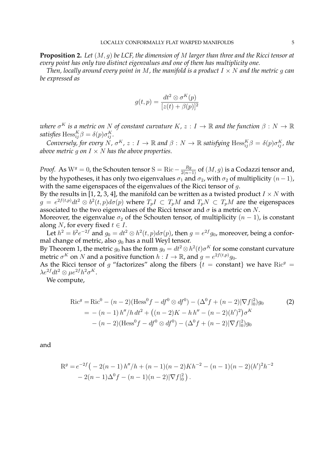**Proposition 2.** *Let* (M, g) *be LCF, the dimension of* M *larger than three and the Ricci tensor at every point has only two distinct eigenvalues and one of them has multiplicity one.*

*Then, locally around every point in* M, the manifold is a product  $I \times N$  and the metric q can *be expressed as*

$$
g(t, p) = \frac{dt^2 \otimes \sigma^K(p)}{[z(t) + \beta(p)]^2}
$$

 $\omega$ here  $\sigma^K$  is a metric on N of constant curvature  $K$ ,  $z:I\to\mathbb{R}$  and the function  $\beta:N\to\mathbb{R}$ *satisfies*  $\text{Hess}_{ij}^K \beta = \delta(p) \sigma_{ij}^K$ .

Conversely, for every  $N$ ,  $\sigma^K$ ,  $z: I \to \mathbb{R}$  and  $\beta: N \to \mathbb{R}$  satisfying  $\text{Hess}_{ij}^K \beta = \delta(p)\sigma^K_{ij}$ , the *above metric* q on  $I \times N$  *has the above properties.* 

*Proof.* As W $^g=0$ , the Schouten tensor S = Ric  $-\frac{Rg}{2(n-1)}$  of  $(M,g)$  is a Codazzi tensor and, by the hypotheses, it has only two eigenvalues  $\sigma_1$  and  $\sigma_2$ , with  $\sigma_2$  of multiplicity  $(n-1)$ , with the same eigenspaces of the eigenvalues of the Ricci tensor of q.

By the results in [1, 2, 3, 4], the manifold can be written as a twisted product  $I \times N$  with  $g = e^{2f(t,p)}dt^2 \otimes b^2(t,p)d\sigma(p)$  where  $T_pI \subset T_pM$  and  $T_pN \subset T_pM$  are the eigenspaces associated to the two eigenvalues of the Ricci tensor and  $\sigma$  is a metric on N.

Moreover, the eigenvalue  $\sigma_2$  of the Schouten tensor, of multiplicity  $(n - 1)$ , is constant along *N*, for every fixed  $t \in I$ .

Let  $h^2 = b^2 e^{-2f}$  and  $g_0 = dt^2 \otimes h^2(t, p) d\sigma(p)$ , then  $g = e^{2f} g_0$ , moreover, being a conformal change of metric, also  $q_0$  has a null Weyl tensor.

By Theorem 1, the metric  $g_0$  has the form  $g_0=dt^2\mathop{\otimes} h^2(t)\sigma^K$  for some constant curvature metric  $\sigma^K$  on N and a positive function  $h: I \to \mathbb{R}$ , and  $g = e^{2f(t,p)}g_0$ .

As the Ricci tensor of g "factorizes" along the fibers  $\{t = constant\}$  we have Ric<sup>g</sup> =  $\lambda e^{2f}dt^2 \otimes \mu e^{2f}h^2\sigma^K$ .

We compute,

$$
\text{Ric}^g = \text{Ric}^0 - (n-2)(\text{Hess}^0 f - df^0 \otimes df^0) - (\Delta^0 f + (n-2)|\nabla f|_0^2)g_0 \tag{2}
$$
\n
$$
= -(n-1) h''/h dt^2 + ((n-2)K - h h'' - (n-2)(h')^2)\sigma^K
$$
\n
$$
- (n-2)(\text{Hess}^0 f - df^0 \otimes df^0) - (\Delta^0 f + (n-2)|\nabla f|_0^2)g_0
$$

and

$$
Rg = e-2f (-2(n - 1) h''/h + (n - 1)(n - 2)Kh-2 - (n - 1)(n - 2)(h')2h-2 - 2(n - 1)\Delta0f - (n - 1)(n - 2)|\nabla f|02).
$$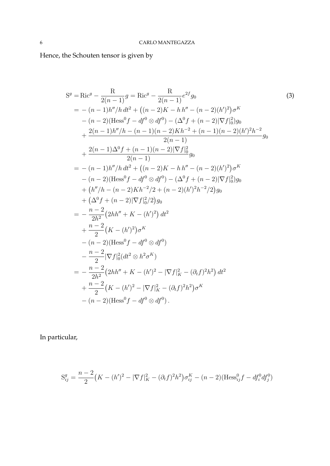Hence, the Schouten tensor is given by

$$
S^{g} = \text{Ric}^{g} - \frac{R}{2(n-1)}g = \text{Ric}^{g} - \frac{R}{2(n-1)}e^{2f}g_{0}
$$
\n
$$
= -(n-1)h''/h dt^{2} + ((n-2)K - h h'' - (n-2)(h')^{2})\sigma^{K}
$$
\n
$$
- (n-2)(\text{Hess}^{0}f - df^{0} \otimes df^{0}) - (\Delta^{0}f + (n-2)|\nabla f|_{0}^{2})g_{0}
$$
\n
$$
+ \frac{2(n-1)h''/h - (n-1)(n-2)Kh^{-2} + (n-1)(n-2)(h')^{2}h^{-2}}{2(n-1)}g_{0}
$$
\n
$$
+ \frac{2(n-1)\Delta^{0}f + (n-1)(n-2)|\nabla f|_{0}^{2}}{2(n-1)}g_{0}
$$
\n
$$
= -(n-1)h''/h dt^{2} + ((n-2)K - h h'' - (n-2)(h')^{2})\sigma^{K}
$$
\n
$$
- (n-2)(\text{Hess}^{0}f - df^{0} \otimes df^{0}) - (\Delta^{0}f + (n-2)|\nabla f|_{0}^{2})g_{0}
$$
\n
$$
+ (h''/h - (n-2)Kh^{-2}/2 + (n-2)(h')^{2}h^{-2}/2)g_{0}
$$
\n
$$
+ (\Delta^{0}f + (n-2)|\nabla f|_{0}^{2}/2)g_{0}
$$
\n
$$
= -\frac{n-2}{2h^{2}}(2hh'' + K - (h')^{2}) dt^{2}
$$
\n
$$
+ \frac{n-2}{2}(K - (h')^{2})\sigma^{K}
$$
\n
$$
- (n-2)(\text{Hess}^{0}f - df^{0} \otimes df^{0})
$$
\n
$$
- \frac{n-2}{2}|\nabla f|_{0}^{2}(dt^{2} \otimes h^{2}\sigma^{K})
$$
\n
$$
= -\frac{n-2}{2h^{2}}(2hh'' + K - (h')^{2} - |\nabla f|_{K}^{2} - (\partial_{t}f)^{2}h^{2}) dt^{2}
$$
\n
$$
+ \frac{n-2}{2}(K - (h')^{2} - |\nabla f|_{K}^{2} - (\partial_{
$$

In particular,

$$
S_{ij}^{g} = \frac{n-2}{2} \left( K - (h')^{2} - |\nabla f|_{K}^{2} - (\partial_{t}f)^{2}h^{2} \right) \sigma_{ij}^{K} - (n-2)(\text{Hess}_{ij}^{0}f - df_{i}^{0}df_{j}^{0})
$$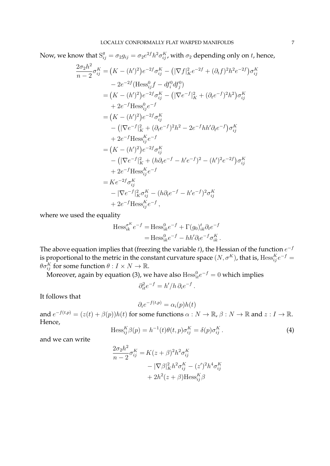Now, we know that  $S_{ij}^g = \sigma_2 g_{ij} = \sigma_2 e^{2f} h^2 \sigma_{ij}^K$ , with  $\sigma_2$  depending only on t, hence,

$$
\frac{2\sigma_2 h^2}{n-2}\sigma_{ij}^K = (K - (h')^2)e^{-2f}\sigma_{ij}^K - (|\nabla f|_K^2 e^{-2f} + (\partial_t f)^2 h^2 e^{-2f})\sigma_{ij}^K
$$
  
\n
$$
- 2e^{-2f}(\text{Hess}_{ij}^0 f - df_i^0 df_j^0)
$$
  
\n
$$
= (K - (h')^2)e^{-2f}\sigma_{ij}^K - (|\nabla e^{-f}|_K^2 + (\partial_t e^{-f})^2 h^2)\sigma_{ij}^K
$$
  
\n
$$
+ 2e^{-f}\text{Hess}_{ij}^0 e^{-f}
$$
  
\n
$$
= (K - (h')^2)e^{-2f}\sigma_{ij}^K
$$
  
\n
$$
- (|\nabla e^{-f}|_K^2 + (\partial_t e^{-f})^2 h^2 - 2e^{-f} h h' \partial_t e^{-f})\sigma_{ij}^K
$$
  
\n
$$
+ 2e^{-f}\text{Hess}_{ij}^K e^{-f}
$$
  
\n
$$
= (K - (h')^2)e^{-2f}\sigma_{ij}^K
$$
  
\n
$$
- (|\nabla e^{-f}|_K^2 + (h \partial_t e^{-f} - h' e^{-f})^2 - (h')^2 e^{-2f})\sigma_{ij}^K
$$
  
\n
$$
+ 2e^{-f}\text{Hess}_{ij}^K e^{-f}
$$
  
\n
$$
= Ke^{-2f}\sigma_{ij}^K
$$
  
\n
$$
- |\nabla e^{-f}|_K^2 \sigma_{ij}^K - (h \partial_t e^{-f} - h' e^{-f})^2 \sigma_{ij}^K
$$
  
\n
$$
+ 2e^{-f}\text{Hess}_{ij}^K e^{-f},
$$

where we used the equality

$$
\text{Hess}_{ik}^{\sigma^K} e^{-f} = \text{Hess}_{ik}^0 e^{-f} + \Gamma(g_0)_{ik}^t \partial_t e^{-f}
$$

$$
= \text{Hess}_{ik}^0 e^{-f} - hh' \partial_t e^{-f} \sigma_{ik}^K.
$$

The above equation implies that (freezing the variable t), the Hessian of the function  $e^{-f}$ is proportional to the metric in the constant curvature space  $(N, \sigma^K)$ , that is,  $\mathrm{Hess}_{ij}^Ke^{-f}=0$  $\theta \sigma_{ij}^K$  for some function  $\theta : I \times N \to \mathbb{R}$ .

Moreover, again by equation (3), we have also  $\mathrm{Hess}^0_{it}e^{-f}=0$  which implies

$$
\partial_{it}^2 e^{-f} = h'/h \, \partial_i e^{-f} \, .
$$

It follows that

$$
\partial_i e^{-f(t,p)} = \alpha_i(p)h(t)
$$

and  $e^{-f(t,p)} = (z(t) + \beta(p))h(t)$  for some functions  $\alpha : N \to \mathbb{R}$ ,  $\beta : N \to \mathbb{R}$  and  $z : I \to \mathbb{R}$ . Hence,

$$
\text{Hess}_{ij}^K \beta(p) = h^{-1}(t)\theta(t, p)\sigma_{ij}^K = \delta(p)\sigma_{ij}^K.
$$
 (4)

and we can write

$$
\frac{2\sigma_2 h^2}{n-2}\sigma_{ij}^K = K(z+\beta)^2 h^2 \sigma_{ij}^K
$$

$$
- |\nabla \beta|_K^2 h^2 \sigma_{ij}^K - (z')^2 h^4 \sigma_{ij}^K
$$

$$
+ 2h^2 (z+\beta) \text{Hess}_{ij}^K \beta
$$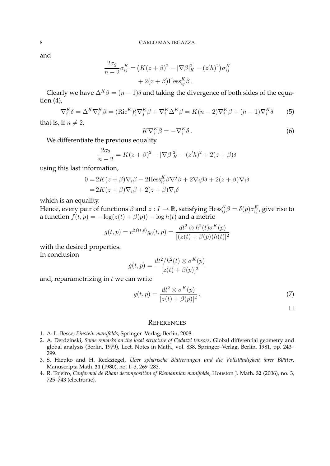and

$$
\frac{2\sigma_2}{n-2}\sigma_{ij}^K = (K(z+\beta)^2 - |\nabla\beta|_K^2 - (z'h)^2)\sigma_{ij}^K
$$

$$
+ 2(z+\beta)\text{Hess}_{ij}^K\beta.
$$

Clearly we have  $\Delta^K \beta = (n-1)\delta$  and taking the divergence of both sides of the equation  $(4)$ ,

$$
\nabla_i^K \delta = \Delta^K \nabla_i^K \beta = (\text{Ric}^K)_i^j \nabla_j^K \beta + \nabla_i^K \Delta^K \beta = K(n-2) \nabla_i^K \beta + (n-1) \nabla_i^K \delta \tag{5}
$$

that is, if  $n \neq 2$ ,

$$
K\nabla_i^K \beta = -\nabla_i^K \delta \,. \tag{6}
$$

We differentiate the previous equality

$$
\frac{2\sigma_2}{n-2} = K(z+\beta)^2 - |\nabla \beta|_K^2 - (z'h)^2 + 2(z+\beta)\delta
$$

using this last information,

$$
0 = 2K(z + \beta)\nabla_i \beta - 2\text{Hess}_{ij}^K \beta \nabla^j \beta + 2\nabla_i \beta \delta + 2(z + \beta)\nabla_i \delta
$$
  
= 2K(z + \beta)\nabla\_i \beta + 2(z + \beta)\nabla\_i \delta

which is an equality.

Hence, every pair of functions  $\beta$  and  $z:I\to\mathbb R$ , satisfying  $\mathrm{Hess}_{ij}^K\beta=\delta(p)\sigma^K_{ij}$ , give rise to a function  $f(t, p) = -\log(z(t) + \beta(p)) - \log h(t)$  and a metric

$$
g(t,p) = e^{2f(t,p)}g_0(t,p) = \frac{dt^2 \otimes h^2(t)\sigma^K(p)}{[(z(t) + \beta(p))h(t)]^2}
$$

with the desired properties.

In conclusion

$$
g(t,p) = \frac{dt^2/h^2(t) \otimes \sigma^K(p)}{[z(t) + \beta(p)]^2}
$$

and, reparametrizing in  $t$  we can write

$$
g(t,p) = \frac{dt^2 \otimes \sigma^K(p)}{[z(t) + \beta(p)]^2}.
$$
\n(7)

 $\Box$ 

## **REFERENCES**

- 1. A. L. Besse, *Einstein manifolds*, Springer–Verlag, Berlin, 2008.
- 2. A. Derdzinski, *Some remarks on the local structure of Codazzi tensors*, Global differential geometry and global analysis (Berlin, 1979), Lect. Notes in Math., vol. 838, Springer–Verlag, Berlin, 1981, pp. 243– 299.
- 3. S. Hiepko and H. Reckziegel, Über sphärische Blätterungen und die Vollständigkeit ihrer Blätter, Manuscripta Math. **31** (1980), no. 1–3, 269–283.
- 4. R. Tojeiro, *Conformal de Rham decomposition of Riemannian manifolds*, Houston J. Math. **32** (2006), no. 3, 725–743 (electronic).